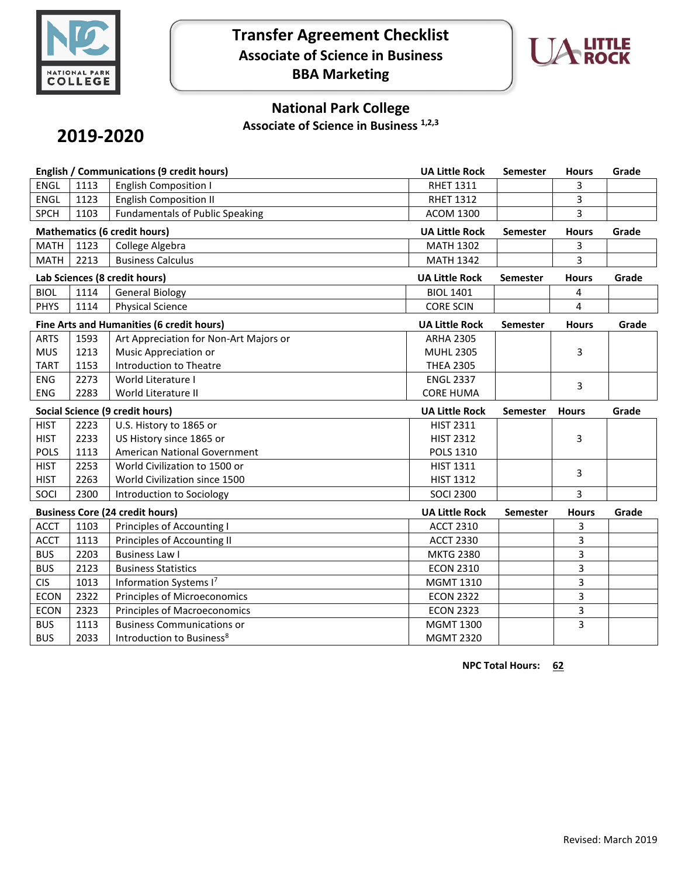

## **Transfer Agreement Checklist Associate of Science in Business BBA Marketing**



## **National Park College**

**Associate of Science in Business 1,2,3**

# **2019-2020**

| English / Communications (9 credit hours) |      |                                        | <b>UA Little Rock</b> | Semester        | <b>Hours</b> | Grade |
|-------------------------------------------|------|----------------------------------------|-----------------------|-----------------|--------------|-------|
| <b>ENGL</b>                               | 1113 | <b>English Composition I</b>           | <b>RHET 1311</b>      |                 | 3            |       |
| <b>ENGL</b>                               | 1123 | <b>English Composition II</b>          | <b>RHET 1312</b>      |                 | 3            |       |
| <b>SPCH</b>                               | 1103 | <b>Fundamentals of Public Speaking</b> | <b>ACOM 1300</b>      |                 | 3            |       |
| <b>Mathematics (6 credit hours)</b>       |      |                                        | <b>UA Little Rock</b> | Semester        | <b>Hours</b> | Grade |
| <b>MATH</b>                               | 1123 | College Algebra                        | <b>MATH 1302</b>      |                 | 3            |       |
| <b>MATH</b>                               | 2213 | <b>Business Calculus</b>               | <b>MATH 1342</b>      |                 | 3            |       |
| Lab Sciences (8 credit hours)             |      |                                        | <b>UA Little Rock</b> | <b>Semester</b> | <b>Hours</b> | Grade |
| <b>BIOL</b>                               | 1114 | <b>General Biology</b>                 | <b>BIOL 1401</b>      |                 | 4            |       |
| <b>PHYS</b>                               | 1114 | <b>Physical Science</b>                | <b>CORE SCIN</b>      |                 | 4            |       |
| Fine Arts and Humanities (6 credit hours) |      |                                        | <b>UA Little Rock</b> | <b>Semester</b> | <b>Hours</b> | Grade |
| <b>ARTS</b>                               | 1593 | Art Appreciation for Non-Art Majors or | <b>ARHA 2305</b>      |                 |              |       |
| <b>MUS</b>                                | 1213 | Music Appreciation or                  | <b>MUHL 2305</b>      |                 | 3            |       |
| <b>TART</b>                               | 1153 | Introduction to Theatre                | <b>THEA 2305</b>      |                 |              |       |
| <b>ENG</b>                                | 2273 | World Literature I                     | <b>ENGL 2337</b>      |                 | 3            |       |
| <b>ENG</b>                                | 2283 | World Literature II                    | <b>CORE HUMA</b>      |                 |              |       |
| <b>Social Science (9 credit hours)</b>    |      |                                        |                       |                 |              |       |
|                                           |      |                                        | <b>UA Little Rock</b> | <b>Semester</b> | <b>Hours</b> | Grade |
| <b>HIST</b>                               | 2223 | U.S. History to 1865 or                | <b>HIST 2311</b>      |                 |              |       |
| <b>HIST</b>                               | 2233 | US History since 1865 or               | <b>HIST 2312</b>      |                 | 3            |       |
| <b>POLS</b>                               | 1113 | American National Government           | <b>POLS 1310</b>      |                 |              |       |
| <b>HIST</b>                               | 2253 | World Civilization to 1500 or          | <b>HIST 1311</b>      |                 |              |       |
| <b>HIST</b>                               | 2263 | World Civilization since 1500          | <b>HIST 1312</b>      |                 | 3            |       |
| SOCI                                      | 2300 | Introduction to Sociology              | <b>SOCI 2300</b>      |                 | 3            |       |
|                                           |      | <b>Business Core (24 credit hours)</b> | <b>UA Little Rock</b> | <b>Semester</b> | <b>Hours</b> | Grade |
| <b>ACCT</b>                               | 1103 | Principles of Accounting I             | <b>ACCT 2310</b>      |                 | 3            |       |
| <b>ACCT</b>                               | 1113 | Principles of Accounting II            | <b>ACCT 2330</b>      |                 | 3            |       |
| <b>BUS</b>                                | 2203 | <b>Business Law I</b>                  | <b>MKTG 2380</b>      |                 | 3            |       |
| <b>BUS</b>                                | 2123 | <b>Business Statistics</b>             | <b>ECON 2310</b>      |                 | 3            |       |
| <b>CIS</b>                                | 1013 | Information Systems I7                 | <b>MGMT 1310</b>      |                 | 3            |       |
| <b>ECON</b>                               | 2322 | Principles of Microeconomics           | <b>ECON 2322</b>      |                 | 3            |       |
| <b>ECON</b>                               | 2323 | Principles of Macroeconomics           | <b>ECON 2323</b>      |                 | 3            |       |
| <b>BUS</b>                                | 1113 | <b>Business Communications or</b>      | <b>MGMT 1300</b>      |                 | 3            |       |

**NPC Total Hours: 62**